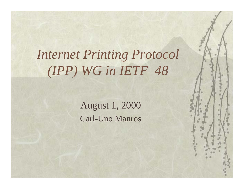# *Internet Printing Protocol (IPP) WG in IETF 48*

August 1, 2000 Carl-Uno Manros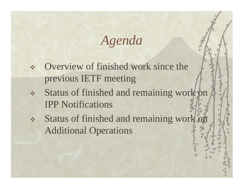### *Agenda*

- Overview of finished work since the previous IETF meeting
- Status of finished and remaining work on IPP Notifications
- Status of finished and remaining work on Additional Operations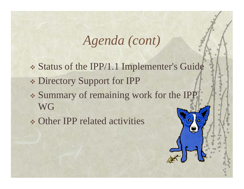## *Agenda (cont)*

- Status of the IPP/1.1 Implementer's Guide Directory Support for IPP Summary of remaining work for the IPP WG
- Other IPP related activities

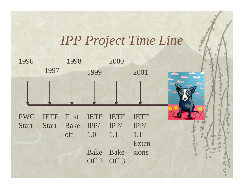## *IPP Project Time Line*

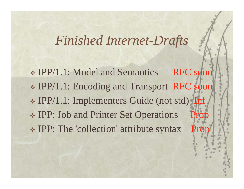#### *Finished Internet-Drafts*

\* IPP/1.1: Model and Semantics RFC soon IPP/1.1: Encoding and Transport RFC soon IPP/1.1: Implementers Guide (not std) Inf **IPP: Job and Printer Set Operations**  $\cdot$  IPP: The 'collection' attribute syntax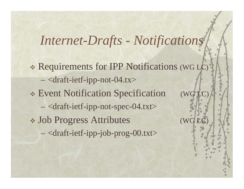#### *Internet-Drafts - Notifications*

 Requirements for IPP Notifications (WG LC) – <draft-ietf-ipp-not-04.tx> Event Notification Specification (WG LC) – <draft-ietf-ipp-not-spec-04.txt> Job Progress Attributes (WG LC) –<draft-ietf-ipp-job-prog-00.txt>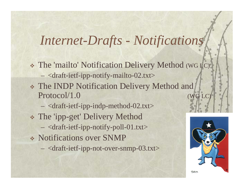#### *Internet-Drafts - Notifications*

- The 'mailto' Notification Delivery Method (WG LC)
	- <draft-ietf-ipp-notify-mailto-02.txt>
- The INDP Notification Delivery Method and Protocol/1.0 (WG LC)
	- <draft-ietf-ipp-indp-method-02.txt>
- The 'ipp-get' Delivery Method
	- <draft-ietf-ipp-notify-poll-01.txt>
- Notifications over SNMP
	- <draft-ietf-ipp-not-over-snmp-03.txt>

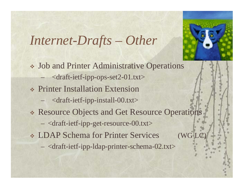*Internet-Drafts – Other*



 Job and Printer Administrative Operations <draft-ietf-ipp-ops-set2-01.txt> Printer Installation Extension <draft-ietf-ipp-install-00.txt> Resource Objects and Get Resource Operations <draft-ietf-ipp-get-resource-00.txt> LDAP Schema for Printer Services (WG LC) <draft-ietf-ipp-ldap-printer-schema-02.txt>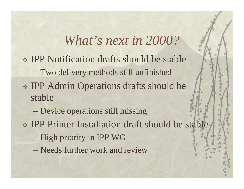### *What's next in 2000?*

- IPP Notification drafts should be stable  $-$  Two delivery methods still unfinished \* IPP Admin Operations drafts should be stable
	- –Device operations still missing
- IPP Printer Installation draft should be stable
	- –High priority in IPP WG
	- Needs further work and review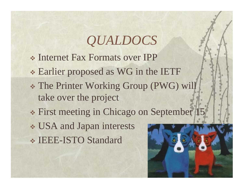# *QUALDOCS*

- Internet Fax Formats over IPP
- Earlier proposed as WG in the IETF
- The Printer Working Group (PWG) will take over the project
- First meeting in Chicago on September 15
- USA and Japan interests IEEE-ISTO Standard

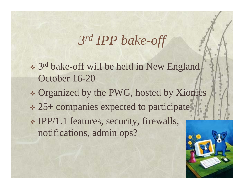### *3rd IPP bake-off*

- \* 3<sup>rd</sup> bake-off will be held in New England October 16-20
- Organized by the PWG, hosted by Xionics 25+ companies expected to participate IPP/1.1 features, security, firewalls, notifications, admin ops?

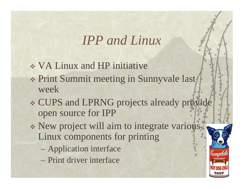#### *IPP and Linux*

- VA Linux and HP initiative
- \* Print Summit meeting in Sunnyvale last week
- CUPS and LPRNG projects already provide open source for IPP
- New project will aim to integrate various Linux components for printing
	- –Application interface
	- Print driver interface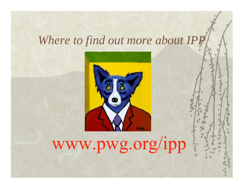#### *Where to find out more about IPP*



# www.pwg.org/ipp